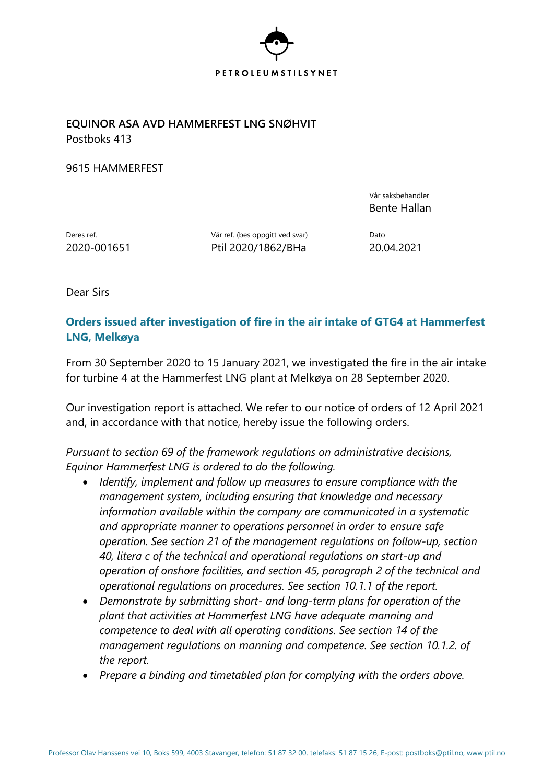

**EQUINOR ASA AVD HAMMERFEST LNG SNØHVIT** Postboks 413

9615 HAMMERFEST

Vår saksbehandler Bente Hallan

Deres ref. Deres ref. (bes oppgitt ved svar) Dato 2020-001651 Ptil 2020/1862/BHa 20.04.2021

Dear Sirs

## **Orders issued after investigation of fire in the air intake of GTG4 at Hammerfest LNG, Melkøya**

From 30 September 2020 to 15 January 2021, we investigated the fire in the air intake for turbine 4 at the Hammerfest LNG plant at Melkøya on 28 September 2020.

Our investigation report is attached. We refer to our notice of orders of 12 April 2021 and, in accordance with that notice, hereby issue the following orders.

*Pursuant to section 69 of the framework regulations on administrative decisions, Equinor Hammerfest LNG is ordered to do the following.*

- *Identify, implement and follow up measures to ensure compliance with the management system, including ensuring that knowledge and necessary information available within the company are communicated in a systematic and appropriate manner to operations personnel in order to ensure safe operation. See section 21 of the management regulations on follow-up, section 40, litera c of the technical and operational regulations on start-up and operation of onshore facilities, and section 45, paragraph 2 of the technical and operational regulations on procedures. See section 10.1.1 of the report.*
- *Demonstrate by submitting short- and long-term plans for operation of the plant that activities at Hammerfest LNG have adequate manning and competence to deal with all operating conditions. See section 14 of the management regulations on manning and competence. See section 10.1.2. of the report.*
- *Prepare a binding and timetabled plan for complying with the orders above.*